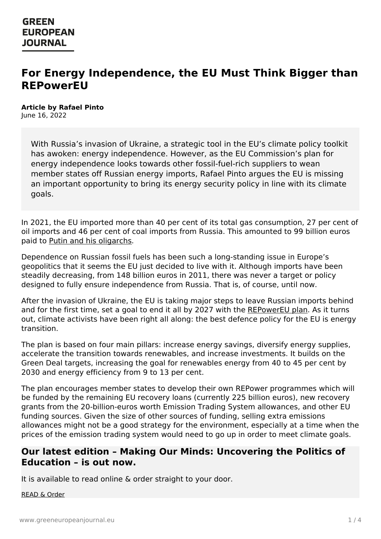## **GREEN EUROPEAN JOURNAL**

# **For Energy Independence, the EU Must Think Bigger than REPowerEU**

**Article by Rafael Pinto** June 16, 2022

> With Russia's invasion of Ukraine, a strategic tool in the EU's climate policy toolkit has awoken: energy independence. However, as the EU Commission's plan for energy independence looks towards other fossil-fuel-rich suppliers to wean member states off Russian energy imports, Rafael Pinto argues the EU is missing an important opportunity to bring its energy security policy in line with its climate goals.

In 2021, the EU imported more than 40 per cent of its total gas consumption, 27 per cent of oil imports and 46 per cent of coal imports from Russia. This amounted to 99 billion euros paid to Putin and his [oligarchs.](https://ec.europa.eu/info/news/focus-reducing-eus-dependence-imported-fossil-fuels-2022-apr-20_en)

Dependence on Russian fossil fuels has been such a long-standing issue in Europe's geopolitics that it seems the EU just decided to live with it. Although imports have been steadily decreasing, from 148 billion euros in 2011, there was never a target or policy designed to fully ensure independence from Russia. That is, of course, until now.

After the invasion of Ukraine, the EU is taking major steps to leave Russian imports behind and for the first time, set a goal to end it all by 2027 with the [REPowerEU](https://ec.europa.eu/info/strategy/priorities-2019-2024/european-green-deal/repowereu-affordable-secure-and-sustainable-energy-europe_en) plan. As it turns out, climate activists have been right all along: the best defence policy for the EU is energy transition.

The plan is based on four main pillars: increase energy savings, diversify energy supplies, accelerate the transition towards renewables, and increase investments. It builds on the Green Deal targets, increasing the goal for renewables energy from 40 to 45 per cent by 2030 and energy efficiency from 9 to 13 per cent.

The plan encourages member states to develop their own REPower programmes which will be funded by the remaining EU recovery loans (currently 225 billion euros), new recovery grants from the 20-billion-euros worth Emission Trading System allowances, and other EU funding sources. Given the size of other sources of funding, selling extra emissions allowances might not be a good strategy for the environment, especially at a time when the prices of the emission trading system would need to go up in order to meet climate goals.

#### **Our latest [edition](https://www.greeneuropeanjournal.eu) – Making Our Minds: Uncovering the Politics of Education – is out now.**

It is available to read online & order straight to your door.

[READ](https://www.greeneuropeanjournal.eu/edition/making-our-minds-uncovering-the-politics-of-education/) & Order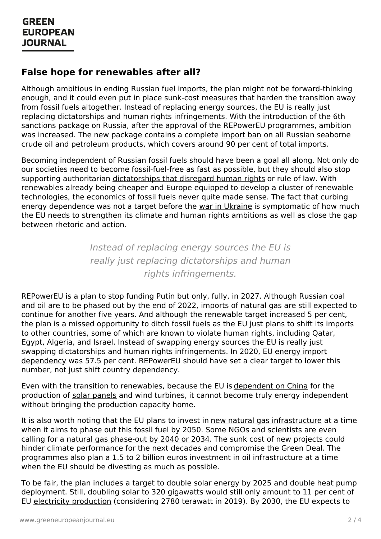#### **False hope for renewables after all?**

Although ambitious in ending Russian fuel imports, the plan might not be forward-thinking enough, and it could even put in place sunk-cost measures that harden the transition away from fossil fuels altogether. Instead of replacing energy sources, the EU is really just replacing dictatorships and human rights infringements. With the introduction of the 6th sanctions package on Russia, after the approval of the REPowerEU programmes, ambition was increased. The new package contains a complete [import](https://ec.europa.eu/commission/presscorner/detail/en/qanda_22_3132) ban on all Russian seaborne crude oil and petroleum products, which covers around 90 per cent of total imports.

Becoming independent of Russian fossil fuels should have been a goal all along. Not only do our societies need to become fossil-fuel-free as fast as possible, but they should also stop supporting authoritarian [dictatorships](https://www.greeneuropeanjournal.eu/power-and-responsibility-putting-human-rights-at-the-centre-of-eu-foreign-policy/) that [disregard](https://www.greeneuropeanjournal.eu/power-and-responsibility-putting-human-rights-at-the-centre-of-eu-foreign-policy/) human rights or rule of law. With renewables already being cheaper and Europe equipped to develop a cluster of renewable technologies, the economics of fossil fuels never quite made sense. The fact that curbing energy dependence was not a target before the war in [Ukraine](https://www.greeneuropeanjournal.eu/focus/russian-invasion-of-ukraine/) is symptomatic of how much the EU needs to strengthen its climate and human rights ambitions as well as close the gap between rhetoric and action.

> Instead of replacing energy sources the EU is really just replacing dictatorships and human rights infringements.

REPowerEU is a plan to stop funding Putin but only, fully, in 2027. Although Russian coal and oil are to be phased out by the end of 2022, imports of natural gas are still expected to continue for another five years. And although the renewable target increased 5 per cent, the plan is a missed opportunity to ditch fossil fuels as the EU just plans to shift its imports to other countries, some of which are known to violate human rights, including Qatar, Egypt, Algeria, and Israel. Instead of swapping energy sources the EU is really just swapping dictatorships and human rights [infringements.](https://ec.europa.eu/eurostat/statistics-explained/index.php?title=Energy_statistics_-_an_overview&oldid=557437) In 2020, EU energy import dependency was 57.5 per cent. REPowerEU should have set a clear target to lower this number, not just shift country dependency.

Even with the transition to renewables, because the EU is [dependent](https://www.euronews.com/my-europe/2022/06/09/the-eu-needs-renewables-to-curb-russian-fossil-fuel-dependence-for-these-it-s-dependent-on) on China for the production of solar [panels](https://www.greeneuropeanjournal.eu/making-europes-solar-future/) and wind turbines, it cannot become truly energy independent without bringing the production capacity home.

It is also worth noting that the EU plans to invest in new natural gas [infrastructure](https://ec.europa.eu/commission/presscorner/detail/en/ip_21_6682) at a time when it aims to phase out this fossil fuel by 2050. Some NGOs and scientists are even calling for a natural gas [phase-out](https://www.theguardian.com/environment/2022/mar/22/rich-countries-must-stop-producing-oil-and-gas-by-2034-says-study) by 2040 or 2034. The sunk cost of new projects could hinder climate [performan](https://www.greeneuropeanjournal.eu)ce for the next decades and compromise the Green Deal. The programmes also plan a 1.5 to 2 billion euros investment in oil infrastructure at a time when the EU should be divesting as much as possible.

To be fair, the plan includes a target to double solar energy by 2025 and double heat pump deployment. Still, doubling solar to 320 gigawatts would still only amount to 11 per cent of EU electricity [production](https://ec.europa.eu/eurostat/statistics-explained/index.php?title=Electricity_production,_consumption_and_market_overview) (considering 2780 terawatt in 2019). By 2030, the EU expects to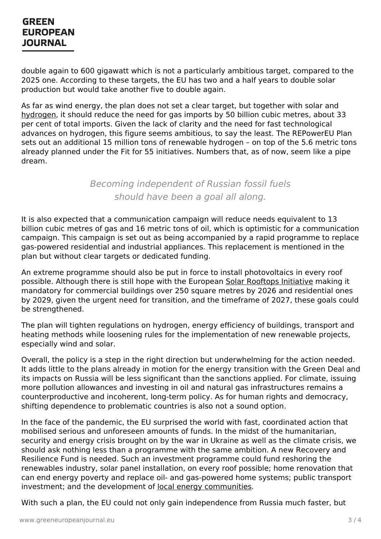## **GREEN EUROPEAN JOURNAL**

double again to 600 gigawatt which is not a particularly ambitious target, compared to the 2025 one. According to these targets, the EU has two and a half years to double solar production but would take another five to double again.

As far as wind energy, the plan does not set a clear target, but together with solar and [hydrogen](https://www.greeneuropeanjournal.eu/the-limits-of-europes-corporate-led-hydrogen-project/), it should reduce the need for gas imports by 50 billion cubic metres, about 33 per cent of total imports. Given the lack of clarity and the need for fast technological advances on hydrogen, this figure seems ambitious, to say the least. The REPowerEU Plan sets out an additional 15 million tons of renewable hydrogen – on top of the 5.6 metric tons already planned under the Fit for 55 initiatives. Numbers that, as of now, seem like a pipe dream.

## Becoming independent of Russian fossil fuels should have been a goal all along.

It is also expected that a communication campaign will reduce needs equivalent to 13 billion cubic metres of gas and 16 metric tons of oil, which is optimistic for a communication campaign. This campaign is set out as being accompanied by a rapid programme to replace gas-powered residential and industrial appliances. This replacement is mentioned in the plan but without clear targets or dedicated funding.

An extreme programme should also be put in force to install photovoltaics in every roof possible. Although there is still hope with the European Solar [Rooftops](https://ec.europa.eu/commission/presscorner/detail/en/IP_22_3131) Initiative making it mandatory for commercial buildings over 250 square metres by 2026 and residential ones by 2029, given the urgent need for transition, and the timeframe of 2027, these goals could be strengthened.

The plan will tighten regulations on hydrogen, energy efficiency of buildings, transport and heating methods while loosening rules for the implementation of new renewable projects, especially wind and solar.

Overall, the policy is a step in the right direction but underwhelming for the action needed. It adds little to the plans already in motion for the energy transition with the Green Deal and its impacts on Russia will be less significant than the sanctions applied. For climate, issuing more pollution allowances and investing in oil and natural gas infrastructures remains a counterproductive and incoherent, long-term policy. As for human rights and democracy, shifting dependence to problematic countries is also not a sound option.

In the face of the pandemic, the EU surprised the world with fast, coordinated action that mobilised serious and unforeseen amounts of funds. In the midst of the humanitarian, security and energy crisis brought on by the war in Ukraine as well as the climate crisis, we should ask [nothing](https://www.greeneuropeanjournal.eu) less than a programme with the same ambition. A new Recovery and Resilience Fund is needed. Such an investment programme could fund reshoring the renewables industry, solar panel installation, on every roof possible; home renovation that can end energy poverty and replace oil- and gas-powered home systems; public transport investment; and the development of local energy [communities](https://www.greeneuropeanjournal.eu/communities-can-lead-europes-energy-transition/).

With such a plan, the EU could not only gain independence from Russia much faster, but